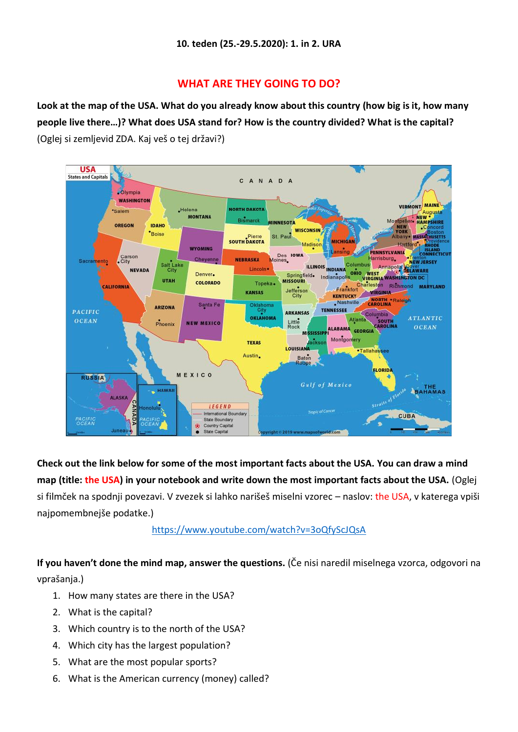## **WHAT ARE THEY GOING TO DO?**

**Look at the map of the USA. What do you already know about this country (how big is it, how many people live there…)? What does USA stand for? How is the country divided? What is the capital?** (Oglej si zemljevid ZDA. Kaj veš o tej državi?)



**Check out the link below for some of the most important facts about the USA. You can draw a mind map (title: the USA) in your notebook and write down the most important facts about the USA.** (Oglej si filmček na spodnji povezavi. V zvezek si lahko narišeš miselni vzorec – naslov: the USA, v katerega vpiši najpomembnejše podatke.)

<https://www.youtube.com/watch?v=3oQfyScJQsA>

**If you haven't done the mind map, answer the questions.** (Če nisi naredil miselnega vzorca, odgovori na vprašanja.)

- 1. How many states are there in the USA?
- 2. What is the capital?
- 3. Which country is to the north of the USA?
- 4. Which city has the largest population?
- 5. What are the most popular sports?
- 6. What is the American currency (money) called?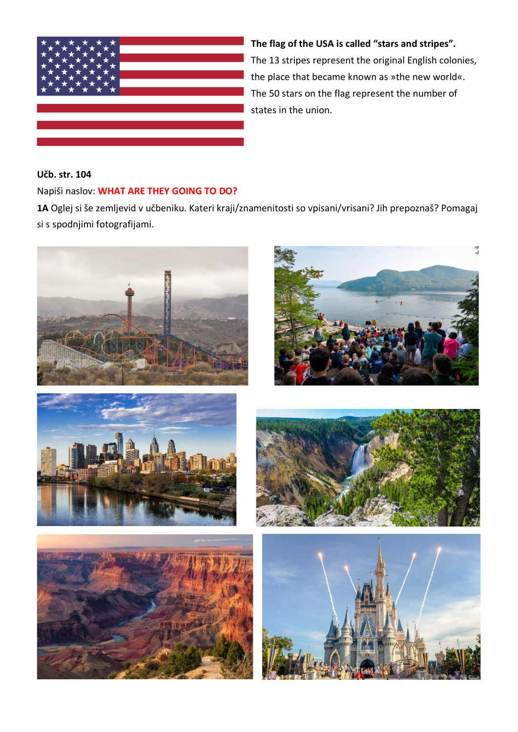

**The flag of the USA is called "stars and stripes".**  The 13 stripes represent the original English colonies, the place that became known as »the new world«. The 50 stars on the flag represent the number of states in the union.

## **Učb. str. 104**

## Napiši naslov: **WHAT ARE THEY GOING TO DO?**

**1A** Oglej si še zemljevid v učbeniku. Kateri kraji/znamenitosti so vpisani/vrisani? Jih prepoznaš? Pomagaj si s spodnjimi fotografijami.